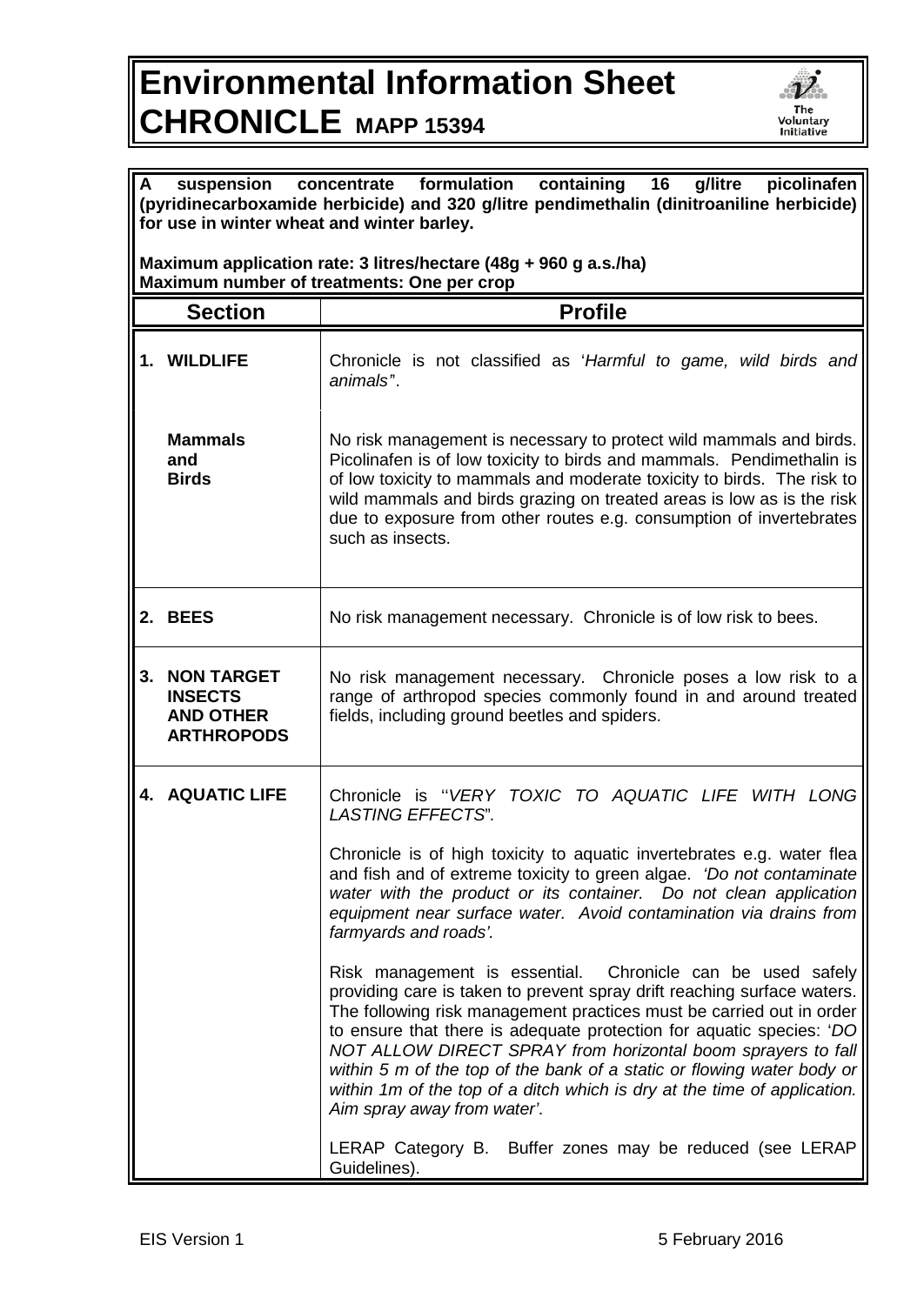## **Environmental Information Sheet CHRONICLE MAPP 15394**



| $\mathsf{A}$<br>formulation<br>containing<br>picolinafen<br>16<br>g/litre<br>suspension<br>concentrate<br>(pyridinecarboxamide herbicide) and 320 g/litre pendimethalin (dinitroaniline herbicide)<br>for use in winter wheat and winter barley. |                                                                              |                                                                                                                                                                                                                                                                                                                                                                                                                                                                                                                                            |  |
|--------------------------------------------------------------------------------------------------------------------------------------------------------------------------------------------------------------------------------------------------|------------------------------------------------------------------------------|--------------------------------------------------------------------------------------------------------------------------------------------------------------------------------------------------------------------------------------------------------------------------------------------------------------------------------------------------------------------------------------------------------------------------------------------------------------------------------------------------------------------------------------------|--|
| Maximum application rate: 3 litres/hectare (48g + 960 g a.s./ha)<br>Maximum number of treatments: One per crop                                                                                                                                   |                                                                              |                                                                                                                                                                                                                                                                                                                                                                                                                                                                                                                                            |  |
|                                                                                                                                                                                                                                                  | <b>Section</b>                                                               | <b>Profile</b>                                                                                                                                                                                                                                                                                                                                                                                                                                                                                                                             |  |
|                                                                                                                                                                                                                                                  | 1. WILDLIFE                                                                  | Chronicle is not classified as 'Harmful to game, wild birds and<br>animals <sup>"</sup> .                                                                                                                                                                                                                                                                                                                                                                                                                                                  |  |
|                                                                                                                                                                                                                                                  | <b>Mammals</b><br>and<br><b>Birds</b>                                        | No risk management is necessary to protect wild mammals and birds.<br>Picolinafen is of low toxicity to birds and mammals. Pendimethalin is<br>of low toxicity to mammals and moderate toxicity to birds. The risk to<br>wild mammals and birds grazing on treated areas is low as is the risk<br>due to exposure from other routes e.g. consumption of invertebrates<br>such as insects.                                                                                                                                                  |  |
|                                                                                                                                                                                                                                                  | 2. BEES                                                                      | No risk management necessary. Chronicle is of low risk to bees.                                                                                                                                                                                                                                                                                                                                                                                                                                                                            |  |
| 3.                                                                                                                                                                                                                                               | <b>NON TARGET</b><br><b>INSECTS</b><br><b>AND OTHER</b><br><b>ARTHROPODS</b> | No risk management necessary. Chronicle poses a low risk to a<br>range of arthropod species commonly found in and around treated<br>fields, including ground beetles and spiders.                                                                                                                                                                                                                                                                                                                                                          |  |
|                                                                                                                                                                                                                                                  | <b>4. AQUATIC LIFE</b>                                                       | Chronicle is "VERY TOXIC TO AQUATIC LIFE WITH LONG<br>LASTING EFFECTS".                                                                                                                                                                                                                                                                                                                                                                                                                                                                    |  |
|                                                                                                                                                                                                                                                  |                                                                              | Chronicle is of high toxicity to aquatic invertebrates e.g. water flea<br>and fish and of extreme toxicity to green algae. 'Do not contaminate<br>water with the product or its container. Do not clean application<br>equipment near surface water. Avoid contamination via drains from<br>farmyards and roads'.                                                                                                                                                                                                                          |  |
|                                                                                                                                                                                                                                                  |                                                                              | Risk management is essential. Chronicle can be used safely<br>providing care is taken to prevent spray drift reaching surface waters.<br>The following risk management practices must be carried out in order<br>to ensure that there is adequate protection for aquatic species: 'DO<br>NOT ALLOW DIRECT SPRAY from horizontal boom sprayers to fall<br>within 5 m of the top of the bank of a static or flowing water body or<br>within 1m of the top of a ditch which is dry at the time of application.<br>Aim spray away from water'. |  |
|                                                                                                                                                                                                                                                  |                                                                              | LERAP Category B. Buffer zones may be reduced (see LERAP<br>Guidelines).                                                                                                                                                                                                                                                                                                                                                                                                                                                                   |  |